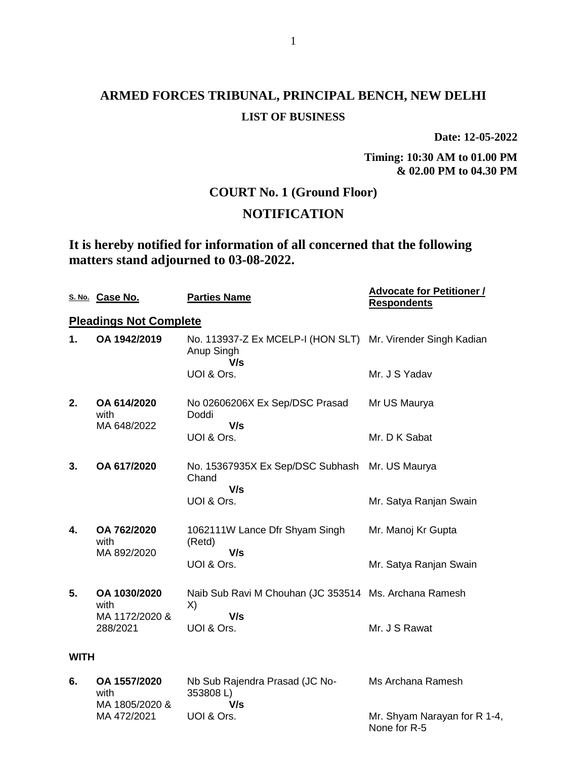**Date: 12-05-2022**

**Timing: 10:30 AM to 01.00 PM & 02.00 PM to 04.30 PM**

## **COURT No. 1 (Ground Floor)**

## **NOTIFICATION**

**It is hereby notified for information of all concerned that the following matters stand adjourned to 03-08-2022.**

|             | S. No. Case No.                    | <b>Parties Name</b>                                                              | <b>Advocate for Petitioner /</b><br><b>Respondents</b> |
|-------------|------------------------------------|----------------------------------------------------------------------------------|--------------------------------------------------------|
|             | <b>Pleadings Not Complete</b>      |                                                                                  |                                                        |
| 1.          | OA 1942/2019                       | No. 113937-Z Ex MCELP-I (HON SLT) Mr. Virender Singh Kadian<br>Anup Singh<br>V/s |                                                        |
|             |                                    | UOI & Ors.                                                                       | Mr. J S Yadav                                          |
| 2.          | OA 614/2020<br>with<br>MA 648/2022 | No 02606206X Ex Sep/DSC Prasad<br>Doddi<br>V/s                                   | Mr US Maurya                                           |
|             |                                    | UOI & Ors.                                                                       | Mr. D K Sabat                                          |
| 3.          | OA 617/2020                        | No. 15367935X Ex Sep/DSC Subhash Mr. US Maurya<br>Chand<br>V/s                   |                                                        |
|             |                                    | UOI & Ors.                                                                       | Mr. Satya Ranjan Swain                                 |
| 4.          | OA 762/2020<br>with<br>MA 892/2020 | 1062111W Lance Dfr Shyam Singh<br>(Retd)<br>V/s                                  | Mr. Manoj Kr Gupta                                     |
|             |                                    | UOI & Ors.                                                                       | Mr. Satya Ranjan Swain                                 |
| 5.          | OA 1030/2020<br>with               | Naib Sub Ravi M Chouhan (JC 353514 Ms. Archana Ramesh<br>X)                      |                                                        |
|             | MA 1172/2020 &<br>288/2021         | V/s<br>UOI & Ors.                                                                | Mr. J S Rawat                                          |
| <b>WITH</b> |                                    |                                                                                  |                                                        |

**6. OA 1557/2020** with MA 1805/2020 & MA 472/2021 Nb Sub Rajendra Prasad (JC No-353808 L)  **V/s** UOI & Ors. Ms Archana Ramesh Mr. Shyam Narayan for R 1-4, None for R-5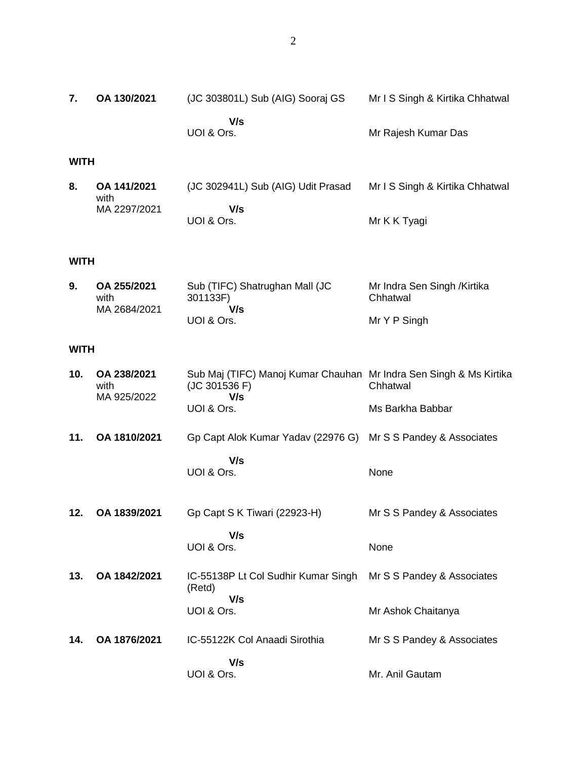Mr I S Singh & Kirtika Chhatwal

**7. OA 130/2021** (JC 303801L) Sub (AIG) Sooraj GS

|             |                                     | V/s<br>UOI & Ors.                                       | Mr Rajesh Kumar Das                             |  |
|-------------|-------------------------------------|---------------------------------------------------------|-------------------------------------------------|--|
| <b>WITH</b> |                                     |                                                         |                                                 |  |
| 8.          | OA 141/2021<br>with<br>MA 2297/2021 | (JC 302941L) Sub (AIG) Udit Prasad<br>V/s<br>UOI & Ors. | Mr I S Singh & Kirtika Chhatwal<br>Mr K K Tyagi |  |
|             | WITH                                |                                                         |                                                 |  |

| 9. | OA 255/2021  | Sub (TIFC) Shatrughan Mall (JC | Mr Indra Sen Singh /Kirtika |
|----|--------------|--------------------------------|-----------------------------|
|    | with         | 301133F)                       | Chhatwal                    |
|    | MA 2684/2021 | V/s                            |                             |
|    |              | UOI & Ors.                     | Mr Y P Singh                |

#### **WITH**

| 10. | OA 238/2021<br>with<br>MA 925/2022 | Sub Maj (TIFC) Manoj Kumar Chauhan Mr Indra Sen Singh & Ms Kirtika<br>(JC 301536 F)<br>V/s | Chhatwal                   |
|-----|------------------------------------|--------------------------------------------------------------------------------------------|----------------------------|
|     |                                    | UOI & Ors.                                                                                 | Ms Barkha Babbar           |
| 11. | OA 1810/2021                       | Gp Capt Alok Kumar Yadav (22976 G) Mr S S Pandey & Associates                              |                            |
|     |                                    | V/s<br>UOI & Ors.                                                                          | None                       |
| 12. | OA 1839/2021                       | Gp Capt S K Tiwari (22923-H)                                                               | Mr S S Pandey & Associates |
|     |                                    | V/s<br>UOI & Ors.                                                                          | None                       |
| 13. | OA 1842/2021                       | IC-55138P Lt Col Sudhir Kumar Singh<br>(Retd)<br>V/s                                       | Mr S S Pandey & Associates |
|     |                                    | UOI & Ors.                                                                                 | Mr Ashok Chaitanya         |
| 14. | OA 1876/2021                       | IC-55122K Col Anaadi Sirothia                                                              | Mr S S Pandey & Associates |
|     |                                    | V/s<br>UOI & Ors.                                                                          | Mr. Anil Gautam            |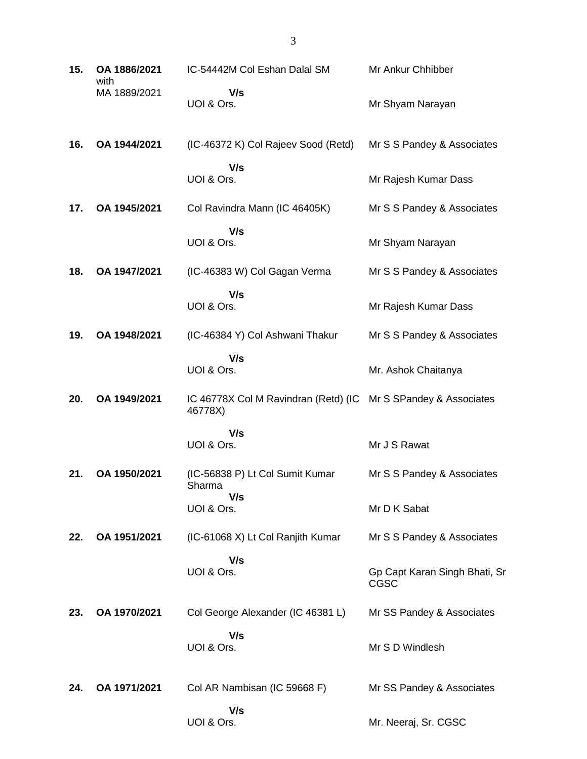| 15. | OA 1886/2021<br>with | IC-54442M Col Eshan Dalal SM                    | Mr Ankur Chhibber                     |
|-----|----------------------|-------------------------------------------------|---------------------------------------|
|     | MA 1889/2021         | V/s<br>UOI & Ors.                               | Mr Shyam Narayan                      |
| 16. | OA 1944/2021         | (IC-46372 K) Col Rajeev Sood (Retd)             | Mr S S Pandey & Associates            |
|     |                      | V/s<br>UOI & Ors.                               | Mr Rajesh Kumar Dass                  |
| 17. | OA 1945/2021         | Col Ravindra Mann (IC 46405K)                   | Mr S S Pandey & Associates            |
|     |                      | V/s<br>UOI & Ors.                               | Mr Shyam Narayan                      |
| 18. | OA 1947/2021         | (IC-46383 W) Col Gagan Verma                    | Mr S S Pandey & Associates            |
|     |                      | V/s<br>UOI & Ors.                               | Mr Rajesh Kumar Dass                  |
| 19. | OA 1948/2021         | (IC-46384 Y) Col Ashwani Thakur                 | Mr S S Pandey & Associates            |
|     |                      | V/s<br>UOI & Ors.                               | Mr. Ashok Chaitanya                   |
| 20. | OA 1949/2021         | IC 46778X Col M Ravindran (Retd) (IC<br>46778X) | Mr S SPandey & Associates             |
|     |                      | V/s<br>UOI & Ors.                               | Mr J S Rawat                          |
| 21. | OA 1950/2021         | (IC-56838 P) Lt Col Sumit Kumar<br>Sharma       | Mr S S Pandey & Associates            |
|     |                      | V/s<br>UOI & Ors.                               | Mr D K Sabat                          |
| 22. | OA 1951/2021         | (IC-61068 X) Lt Col Ranjith Kumar               | Mr S S Pandey & Associates            |
|     |                      | V/s<br>UOI & Ors.                               | Gp Capt Karan Singh Bhati, Sr<br>CGSC |
| 23. | OA 1970/2021         | Col George Alexander (IC 46381 L)               | Mr SS Pandey & Associates             |
|     |                      | V/s<br>UOI & Ors.                               | Mr S D Windlesh                       |
| 24. | OA 1971/2021         | Col AR Nambisan (IC 59668 F)                    | Mr SS Pandey & Associates             |
|     |                      | V/s<br>UOI & Ors.                               | Mr. Neeraj, Sr. CGSC                  |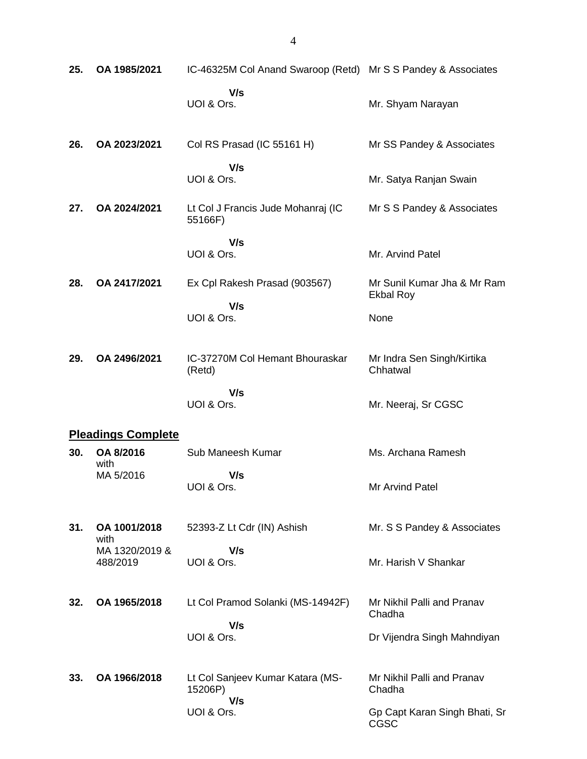| 25. | OA 1985/2021               | IC-46325M Col Anand Swaroop (Retd) Mr S S Pandey & Associates |                                                 |
|-----|----------------------------|---------------------------------------------------------------|-------------------------------------------------|
|     |                            | V/s<br>UOI & Ors.                                             | Mr. Shyam Narayan                               |
| 26. | OA 2023/2021               | Col RS Prasad (IC 55161 H)                                    | Mr SS Pandey & Associates                       |
|     |                            | V/s<br>UOI & Ors.                                             | Mr. Satya Ranjan Swain                          |
| 27. | OA 2024/2021               | Lt Col J Francis Jude Mohanraj (IC<br>55166F)                 | Mr S S Pandey & Associates                      |
|     |                            | V/s<br>UOI & Ors.                                             | Mr. Arvind Patel                                |
| 28. | OA 2417/2021               | Ex Cpl Rakesh Prasad (903567)                                 | Mr Sunil Kumar Jha & Mr Ram<br><b>Ekbal Roy</b> |
|     |                            | V/s<br>UOI & Ors.                                             | None                                            |
| 29. | OA 2496/2021               | IC-37270M Col Hemant Bhouraskar<br>(Retd)                     | Mr Indra Sen Singh/Kirtika<br>Chhatwal          |
|     |                            | V/s<br>UOI & Ors.                                             | Mr. Neeraj, Sr CGSC                             |
|     | <b>Pleadings Complete</b>  |                                                               |                                                 |
| 30. | OA 8/2016<br>with          | Sub Maneesh Kumar                                             | Ms. Archana Ramesh                              |
|     | MA 5/2016                  | V/s<br>UOI & Ors.                                             | Mr Arvind Patel                                 |
| 31. | OA 1001/2018<br>with       | 52393-Z Lt Cdr (IN) Ashish                                    | Mr. S S Pandey & Associates                     |
|     | MA 1320/2019 &<br>488/2019 | V/s<br>UOI & Ors.                                             | Mr. Harish V Shankar                            |
| 32. | OA 1965/2018               | Lt Col Pramod Solanki (MS-14942F)                             | Mr Nikhil Palli and Pranav<br>Chadha            |
|     |                            | V/s<br>UOI & Ors.                                             | Dr Vijendra Singh Mahndiyan                     |
| 33. | OA 1966/2018               | Lt Col Sanjeev Kumar Katara (MS-<br>15206P)<br>V/s            | Mr Nikhil Palli and Pranav<br>Chadha            |
|     |                            | UOI & Ors.                                                    | Gp Capt Karan Singh Bhati, Sr<br>CGSC           |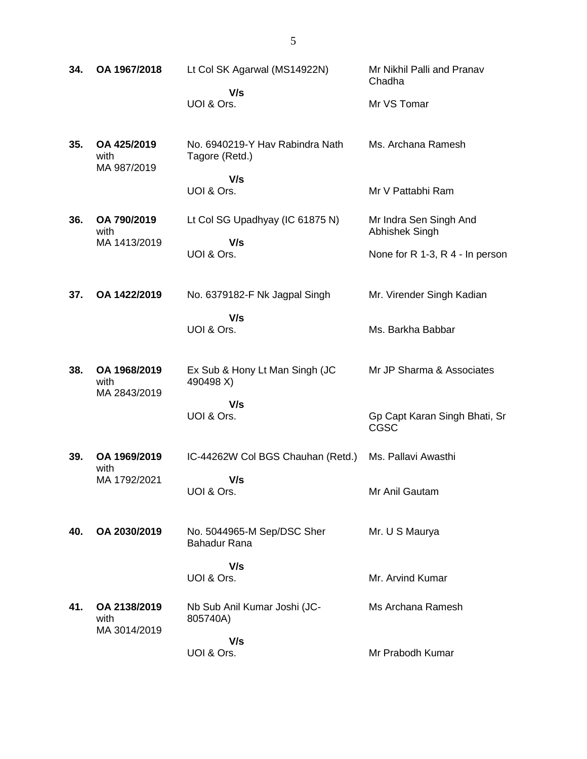| 34. | OA 1967/2018                         | Lt Col SK Agarwal (MS14922N)<br>V/s<br>UOI & Ors.    | Mr Nikhil Palli and Pranav<br>Chadha<br>Mr VS Tomar                                |
|-----|--------------------------------------|------------------------------------------------------|------------------------------------------------------------------------------------|
| 35. | OA 425/2019<br>with<br>MA 987/2019   | No. 6940219-Y Hav Rabindra Nath<br>Tagore (Retd.)    | Ms. Archana Ramesh                                                                 |
|     |                                      | V/s<br>UOI & Ors.                                    | Mr V Pattabhi Ram                                                                  |
| 36. | OA 790/2019<br>with<br>MA 1413/2019  | Lt Col SG Upadhyay (IC 61875 N)<br>V/s<br>UOI & Ors. | Mr Indra Sen Singh And<br><b>Abhishek Singh</b><br>None for R 1-3, R 4 - In person |
| 37. | OA 1422/2019                         | No. 6379182-F Nk Jagpal Singh                        | Mr. Virender Singh Kadian                                                          |
|     |                                      | V/s<br>UOI & Ors.                                    | Ms. Barkha Babbar                                                                  |
| 38. | OA 1968/2019<br>with<br>MA 2843/2019 | Ex Sub & Hony Lt Man Singh (JC<br>490498 X)          | Mr JP Sharma & Associates                                                          |
|     |                                      | V/s<br>UOI & Ors.                                    | Gp Capt Karan Singh Bhati, Sr<br>CGSC                                              |
| 39. | OA 1969/2019<br>with                 | IC-44262W Col BGS Chauhan (Retd.)                    | Ms. Pallavi Awasthi                                                                |
|     | MA 1792/2021                         | V/s<br>UOI & Ors.                                    | Mr Anil Gautam                                                                     |
| 40. | OA 2030/2019                         | No. 5044965-M Sep/DSC Sher<br>Bahadur Rana           | Mr. U S Maurya                                                                     |
|     |                                      | V/s<br>UOI & Ors.                                    | Mr. Arvind Kumar                                                                   |
| 41. | OA 2138/2019<br>with<br>MA 3014/2019 | Nb Sub Anil Kumar Joshi (JC-<br>805740A)             | Ms Archana Ramesh                                                                  |
|     |                                      | V/s<br>UOI & Ors.                                    | Mr Prabodh Kumar                                                                   |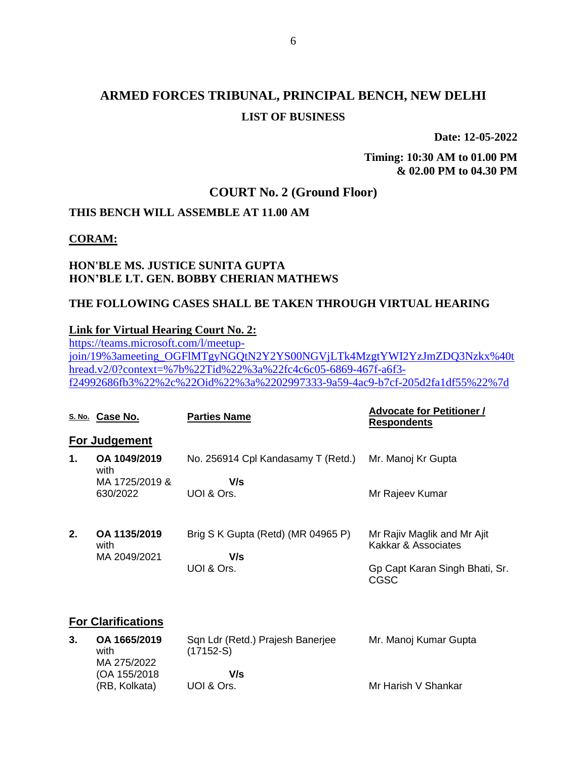**Date: 12-05-2022**

**Timing: 10:30 AM to 01.00 PM & 02.00 PM to 04.30 PM**

## **COURT No. 2 (Ground Floor)**

## **THIS BENCH WILL ASSEMBLE AT 11.00 AM**

#### **CORAM:**

#### **HON'BLE MS. JUSTICE SUNITA GUPTA HON'BLE LT. GEN. BOBBY CHERIAN MATHEWS**

#### **THE FOLLOWING CASES SHALL BE TAKEN THROUGH VIRTUAL HEARING**

#### **Link for Virtual Hearing Court No. 2:**

[https://teams.microsoft.com/l/meetup](https://teams.microsoft.com/l/meetup-join/19%3ameeting_OGFlMTgyNGQtN2Y2YS00NGVjLTk4MzgtYWI2YzJmZDQ3Nzkx%40thread.v2/0?context=%7b%22Tid%22%3a%22fc4c6c05-6869-467f-a6f3-f24992686fb3%22%2c%22Oid%22%3a%2202997333-9a59-4ac9-b7cf-205d2fa1df55%22%7d)[join/19%3ameeting\\_OGFlMTgyNGQtN2Y2YS00NGVjLTk4MzgtYWI2YzJmZDQ3Nzkx%40t](https://teams.microsoft.com/l/meetup-join/19%3ameeting_OGFlMTgyNGQtN2Y2YS00NGVjLTk4MzgtYWI2YzJmZDQ3Nzkx%40thread.v2/0?context=%7b%22Tid%22%3a%22fc4c6c05-6869-467f-a6f3-f24992686fb3%22%2c%22Oid%22%3a%2202997333-9a59-4ac9-b7cf-205d2fa1df55%22%7d) [hread.v2/0?context=%7b%22Tid%22%3a%22fc4c6c05-6869-467f-a6f3](https://teams.microsoft.com/l/meetup-join/19%3ameeting_OGFlMTgyNGQtN2Y2YS00NGVjLTk4MzgtYWI2YzJmZDQ3Nzkx%40thread.v2/0?context=%7b%22Tid%22%3a%22fc4c6c05-6869-467f-a6f3-f24992686fb3%22%2c%22Oid%22%3a%2202997333-9a59-4ac9-b7cf-205d2fa1df55%22%7d) [f24992686fb3%22%2c%22Oid%22%3a%2202997333-9a59-4ac9-b7cf-205d2fa1df55%22%7d](https://teams.microsoft.com/l/meetup-join/19%3ameeting_OGFlMTgyNGQtN2Y2YS00NGVjLTk4MzgtYWI2YzJmZDQ3Nzkx%40thread.v2/0?context=%7b%22Tid%22%3a%22fc4c6c05-6869-467f-a6f3-f24992686fb3%22%2c%22Oid%22%3a%2202997333-9a59-4ac9-b7cf-205d2fa1df55%22%7d)

|    | S. No. Case No.                        | <b>Parties Name</b>                                     | <b>Advocate for Petitioner /</b><br><b>Respondents</b>                                       |
|----|----------------------------------------|---------------------------------------------------------|----------------------------------------------------------------------------------------------|
|    | For Judgement                          |                                                         |                                                                                              |
| 1. | OA 1049/2019<br>with<br>MA 1725/2019 & | No. 256914 Cpl Kandasamy T (Retd.)<br>V/s               | Mr. Manoj Kr Gupta                                                                           |
|    | 630/2022                               | UOI & Ors.                                              | Mr Rajeev Kumar                                                                              |
| 2. | OA 1135/2019<br>with<br>MA 2049/2021   | Brig S K Gupta (Retd) (MR 04965 P)<br>V/s<br>UOI & Ors. | Mr Rajiv Maglik and Mr Ajit<br>Kakkar & Associates<br>Gp Capt Karan Singh Bhati, Sr.<br>CGSC |
|    | <b>For Clarifications</b>              |                                                         |                                                                                              |
| 3. | OA 1665/2019                           | Sqn Ldr (Retd.) Prajesh Banerjee                        | Mr. Manoj Kumar Gupta                                                                        |

| with          | $(17152-S)$         | Mr. Manoj Kumar Gupta            |
|---------------|---------------------|----------------------------------|
| MA 275/2022   |                     |                                  |
| (OA 155/2018) | V/s                 |                                  |
| (RB. Kolkata) | UOI & Ors.          | Mr Harish V Shankar              |
|               | <b>UA 1665/2019</b> | San Lar (Reta.) Prajesh Banerjee |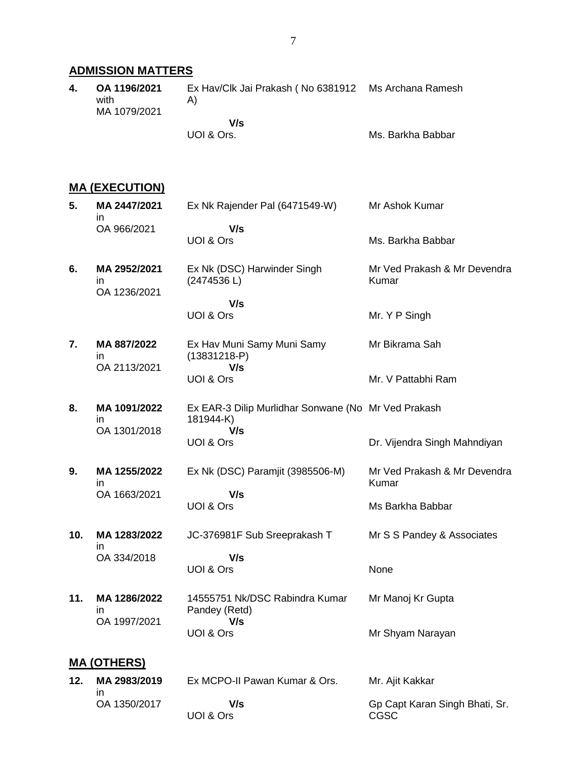## **ADMISSION MATTERS**

**4. OA 1196/2021** with MA 1079/2021 Ex Hav/Clk Jai Prakash ( No 6381912 Ms Archana Ramesh A)  **V/s**

UOI & Ors.

#### Ms. Barkha Babbar

## **MA (EXECUTION)**

| 5.  | MA 2447/2021<br>in.                 | Ex Nk Rajender Pal (6471549-W)                                          | Mr Ashok Kumar                         |
|-----|-------------------------------------|-------------------------------------------------------------------------|----------------------------------------|
|     | OA 966/2021                         | V/s<br>UOI & Ors                                                        | Ms. Barkha Babbar                      |
| 6.  | MA 2952/2021<br>in.<br>OA 1236/2021 | Ex Nk (DSC) Harwinder Singh<br>(2474536L)                               | Mr Ved Prakash & Mr Devendra<br>Kumar  |
|     |                                     | V/s<br>UOI & Ors                                                        | Mr. Y P Singh                          |
| 7.  | MA 887/2022<br>in.<br>OA 2113/2021  | Ex Hav Muni Samy Muni Samy<br>$(13831218-P)$<br>V/s                     | Mr Bikrama Sah                         |
|     |                                     | UOI & Ors                                                               | Mr. V Pattabhi Ram                     |
| 8.  | MA 1091/2022<br>in.                 | Ex EAR-3 Dilip Murlidhar Sonwane (No Mr Ved Prakash<br>181944-K)<br>V/s |                                        |
|     | OA 1301/2018                        | UOI & Ors                                                               | Dr. Vijendra Singh Mahndiyan           |
| 9.  | MA 1255/2022<br>in                  | Ex Nk (DSC) Paramjit (3985506-M)                                        | Mr Ved Prakash & Mr Devendra<br>Kumar  |
|     | OA 1663/2021                        | V/s<br>UOI & Ors                                                        | Ms Barkha Babbar                       |
| 10. | MA 1283/2022<br>ın                  | JC-376981F Sub Sreeprakash T                                            | Mr S S Pandey & Associates             |
|     | OA 334/2018                         | V/s<br>UOI & Ors                                                        | None                                   |
| 11. | MA 1286/2022<br>in                  | 14555751 Nk/DSC Rabindra Kumar<br>Pandey (Retd)                         | Mr Manoj Kr Gupta                      |
|     | OA 1997/2021                        | V/s<br>UOI & Ors                                                        | Mr Shyam Narayan                       |
|     | <b>MA (OTHERS)</b>                  |                                                                         |                                        |
| 12. | MA 2983/2019<br>ın                  | Ex MCPO-II Pawan Kumar & Ors.                                           | Mr. Ajit Kakkar                        |
|     | OA 1350/2017                        | V/s<br>UOI & Ors                                                        | Gp Capt Karan Singh Bhati, Sr.<br>CGSC |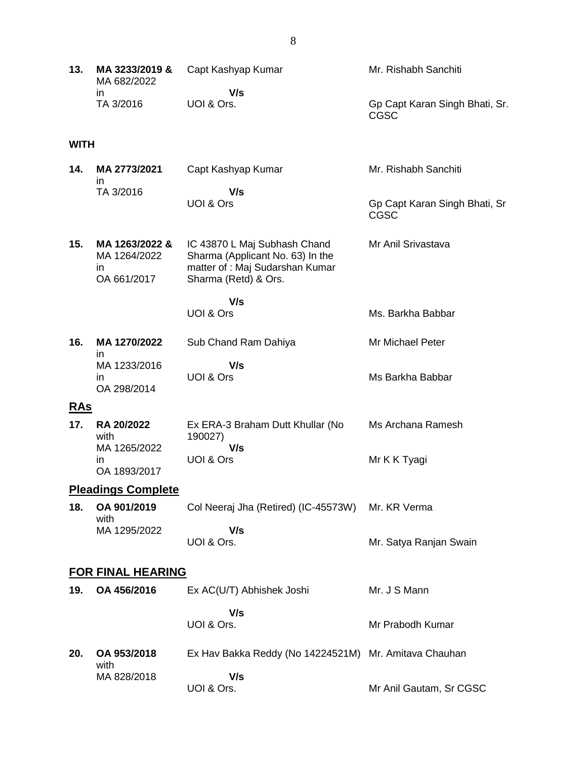| 13.         | MA 3233/2019 &<br>MA 682/2022                       | Capt Kashyap Kumar                                                                                                          | Mr. Rishabh Sanchiti                          |
|-------------|-----------------------------------------------------|-----------------------------------------------------------------------------------------------------------------------------|-----------------------------------------------|
|             | in<br>TA 3/2016                                     | V/s<br>UOI & Ors.                                                                                                           | Gp Capt Karan Singh Bhati, Sr.<br><b>CGSC</b> |
| <b>WITH</b> |                                                     |                                                                                                                             |                                               |
| 14.         | MA 2773/2021<br>in                                  | Capt Kashyap Kumar                                                                                                          | Mr. Rishabh Sanchiti                          |
|             | TA 3/2016                                           | V/s<br>UOI & Ors                                                                                                            | Gp Capt Karan Singh Bhati, Sr<br><b>CGSC</b>  |
| 15.         | MA 1263/2022 &<br>MA 1264/2022<br>in<br>OA 661/2017 | IC 43870 L Maj Subhash Chand<br>Sharma (Applicant No. 63) In the<br>matter of : Maj Sudarshan Kumar<br>Sharma (Retd) & Ors. | Mr Anil Srivastava                            |
|             |                                                     | V/s<br>UOI & Ors                                                                                                            | Ms. Barkha Babbar                             |
| 16.         | MA 1270/2022                                        | Sub Chand Ram Dahiya                                                                                                        | Mr Michael Peter                              |
|             | in<br>MA 1233/2016<br>in<br>OA 298/2014             | V/s<br>UOI & Ors                                                                                                            | Ms Barkha Babbar                              |
| <u>RAs</u>  |                                                     |                                                                                                                             |                                               |
| 17.         | RA 20/2022<br>with<br>MA 1265/2022                  | Ex ERA-3 Braham Dutt Khullar (No<br>190027)<br>V/s                                                                          | Ms Archana Ramesh                             |
|             | in.<br>OA 1893/2017                                 | UOI & Ors                                                                                                                   | Mr K K Tyagi                                  |
|             | <b>Pleadings Complete</b>                           |                                                                                                                             |                                               |
| 18.         | OA 901/2019<br>with                                 | Col Neeraj Jha (Retired) (IC-45573W)                                                                                        | Mr. KR Verma                                  |
|             | MA 1295/2022                                        | V/s<br>UOI & Ors.                                                                                                           | Mr. Satya Ranjan Swain                        |
|             | <b>FOR FINAL HEARING</b>                            |                                                                                                                             |                                               |
| 19.         | OA 456/2016                                         | Ex AC(U/T) Abhishek Joshi                                                                                                   | Mr. J S Mann                                  |
|             |                                                     | V/s<br>UOI & Ors.                                                                                                           | Mr Prabodh Kumar                              |
| 20.         | OA 953/2018                                         | Ex Hav Bakka Reddy (No 14224521M)                                                                                           | Mr. Amitava Chauhan                           |
|             | with<br>MA 828/2018                                 | V/s<br>UOI & Ors.                                                                                                           | Mr Anil Gautam, Sr CGSC                       |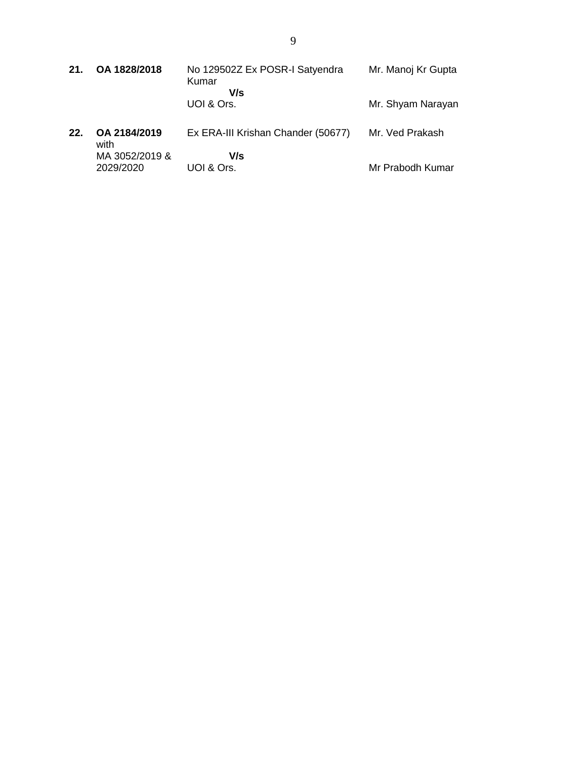| 21. | OA 1828/2018         | No 129502Z Ex POSR-I Satyendra<br>Kumar<br>V/s | Mr. Manoj Kr Gupta |
|-----|----------------------|------------------------------------------------|--------------------|
|     |                      | UOI & Ors.                                     | Mr. Shyam Narayan  |
| 22. | OA 2184/2019<br>with | Ex ERA-III Krishan Chander (50677)             | Mr. Ved Prakash    |
|     | MA 3052/2019 &       | V/s                                            |                    |

UOI & Ors.

2029/2020

Mr Prabodh Kumar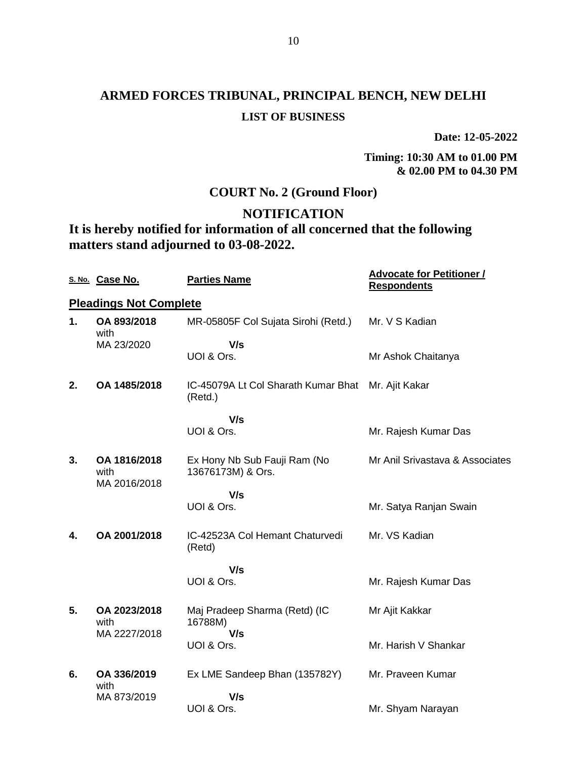**Date: 12-05-2022**

**Timing: 10:30 AM to 01.00 PM & 02.00 PM to 04.30 PM**

## **COURT No. 2 (Ground Floor)**

## **NOTIFICATION**

**It is hereby notified for information of all concerned that the following matters stand adjourned to 03-08-2022.**

|    | S. No. Case No.                      | <b>Parties Name</b>                                           | <b>Advocate for Petitioner /</b><br><b>Respondents</b> |
|----|--------------------------------------|---------------------------------------------------------------|--------------------------------------------------------|
|    | <b>Pleadings Not Complete</b>        |                                                               |                                                        |
| 1. | OA 893/2018<br>with                  | MR-05805F Col Sujata Sirohi (Retd.)                           | Mr. V S Kadian                                         |
|    | MA 23/2020                           | V/s<br>UOI & Ors.                                             | Mr Ashok Chaitanya                                     |
| 2. | OA 1485/2018                         | IC-45079A Lt Col Sharath Kumar Bhat Mr. Ajit Kakar<br>(Retd.) |                                                        |
|    |                                      | V/s<br>UOI & Ors.                                             | Mr. Rajesh Kumar Das                                   |
| 3. | OA 1816/2018<br>with<br>MA 2016/2018 | Ex Hony Nb Sub Fauji Ram (No<br>13676173M) & Ors.             | Mr Anil Srivastava & Associates                        |
|    |                                      | V/s<br>UOI & Ors.                                             | Mr. Satya Ranjan Swain                                 |
| 4. | OA 2001/2018                         | IC-42523A Col Hemant Chaturvedi<br>(Retd)                     | Mr. VS Kadian                                          |
|    |                                      | V/s<br>UOI & Ors.                                             | Mr. Rajesh Kumar Das                                   |
| 5. | OA 2023/2018<br>with                 | Maj Pradeep Sharma (Retd) (IC<br>16788M)                      | Mr Ajit Kakkar                                         |
|    | MA 2227/2018                         | V/s<br>UOI & Ors.                                             | Mr. Harish V Shankar                                   |
| 6. | OA 336/2019<br>with                  | Ex LME Sandeep Bhan (135782Y)                                 | Mr. Praveen Kumar                                      |
|    | MA 873/2019                          | V/s<br>UOI & Ors.                                             | Mr. Shyam Narayan                                      |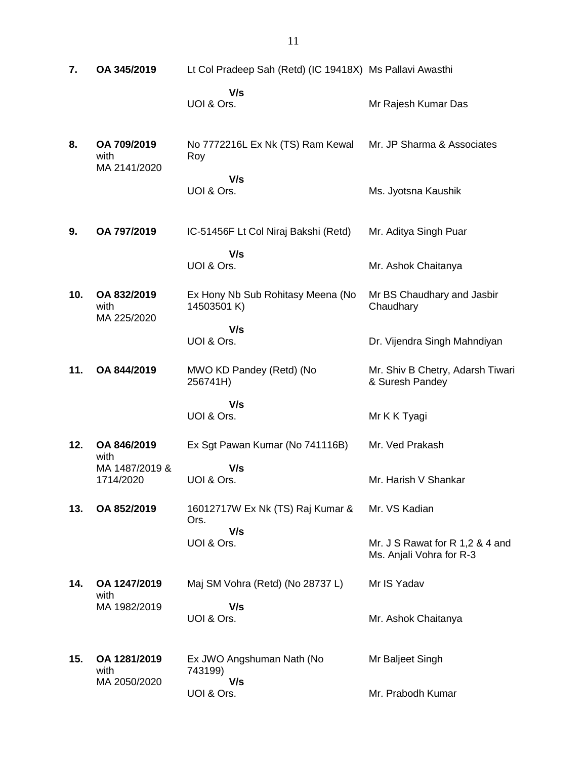**7. OA 345/2019** Lt Col Pradeep Sah (Retd) (IC 19418X) Ms Pallavi Awasthi  **V/s** UOI & Ors. Mr Rajesh Kumar Das **8. OA 709/2019** with MA 2141/2020 No 7772216L Ex Nk (TS) Ram Kewal Roy  **V/s** UOI & Ors. Mr. JP Sharma & Associates Ms. Jyotsna Kaushik **9. OA 797/2019** IC-51456F Lt Col Niraj Bakshi (Retd)  **V/s** UOI & Ors. Mr. Aditya Singh Puar Mr. Ashok Chaitanya **10. OA 832/2019** with MA 225/2020 Ex Hony Nb Sub Rohitasy Meena (No 14503501 K)  **V/s** UOI & Ors. Mr BS Chaudhary and Jasbir **Chaudhary** Dr. Vijendra Singh Mahndiyan **11. OA 844/2019** MWO KD Pandey (Retd) (No 256741H)  **V/s** UOI & Ors. Mr. Shiv B Chetry, Adarsh Tiwari & Suresh Pandey Mr K K Tyagi **12. OA 846/2019** with MA 1487/2019 & 1714/2020 Ex Sgt Pawan Kumar (No 741116B)  **V/s** UOI & Ors. Mr. Ved Prakash Mr. Harish V Shankar **13. OA 852/2019** 16012717W Ex Nk (TS) Raj Kumar & Ors.  **V/s** UOI & Ors. Mr. VS Kadian Mr. J S Rawat for R 1,2 & 4 and Ms. Anjali Vohra for R-3 **14. OA 1247/2019** with MA 1982/2019 Maj SM Vohra (Retd) (No 28737 L)  **V/s** UOI & Ors. Mr IS Yadav Mr. Ashok Chaitanya **15. OA 1281/2019** with MA 2050/2020 Ex JWO Angshuman Nath (No 743199)  **V/s** UOI & Ors. Mr Baljeet Singh Mr. Prabodh Kumar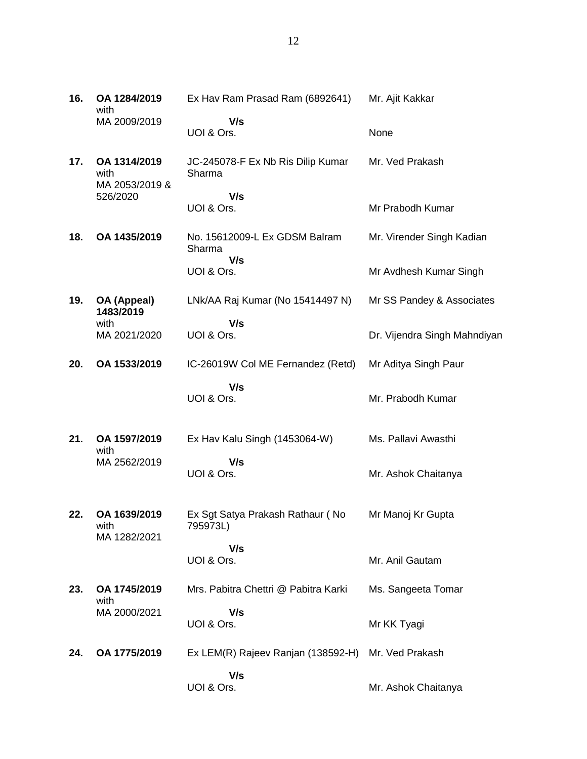| 16. | OA 1284/2019<br>with                   | Ex Hav Ram Prasad Ram (6892641)              | Mr. Ajit Kakkar              |
|-----|----------------------------------------|----------------------------------------------|------------------------------|
|     | MA 2009/2019                           | V/s<br>UOI & Ors.                            | None                         |
| 17. | OA 1314/2019<br>with<br>MA 2053/2019 & | JC-245078-F Ex Nb Ris Dilip Kumar<br>Sharma  | Mr. Ved Prakash              |
|     | 526/2020                               | V/s<br>UOI & Ors.                            | Mr Prabodh Kumar             |
| 18. | OA 1435/2019                           | No. 15612009-L Ex GDSM Balram<br>Sharma      | Mr. Virender Singh Kadian    |
|     |                                        | V/s<br>UOI & Ors.                            | Mr Avdhesh Kumar Singh       |
| 19. | OA (Appeal)<br>1483/2019               | LNk/AA Raj Kumar (No 15414497 N)             | Mr SS Pandey & Associates    |
|     | with<br>MA 2021/2020                   | V/s<br>UOI & Ors.                            | Dr. Vijendra Singh Mahndiyan |
| 20. | OA 1533/2019                           | IC-26019W Col ME Fernandez (Retd)            | Mr Aditya Singh Paur         |
|     |                                        | V/s<br>UOI & Ors.                            | Mr. Prabodh Kumar            |
| 21. | OA 1597/2019<br>with                   | Ex Hav Kalu Singh (1453064-W)                | Ms. Pallavi Awasthi          |
|     | MA 2562/2019                           | V/s<br>UOI & Ors.                            | Mr. Ashok Chaitanya          |
| 22. | OA 1639/2019<br>with<br>MA 1282/2021   | Ex Sgt Satya Prakash Rathaur (No<br>795973L) | Mr Manoj Kr Gupta            |
|     |                                        | V/s<br>UOI & Ors.                            | Mr. Anil Gautam              |
| 23. | OA 1745/2019<br>with                   | Mrs. Pabitra Chettri @ Pabitra Karki         | Ms. Sangeeta Tomar           |
|     | MA 2000/2021                           | V/s<br>UOI & Ors.                            | Mr KK Tyagi                  |
| 24. | OA 1775/2019                           | Ex LEM(R) Rajeev Ranjan (138592-H)           | Mr. Ved Prakash              |
|     |                                        | V/s<br>UOI & Ors.                            | Mr. Ashok Chaitanya          |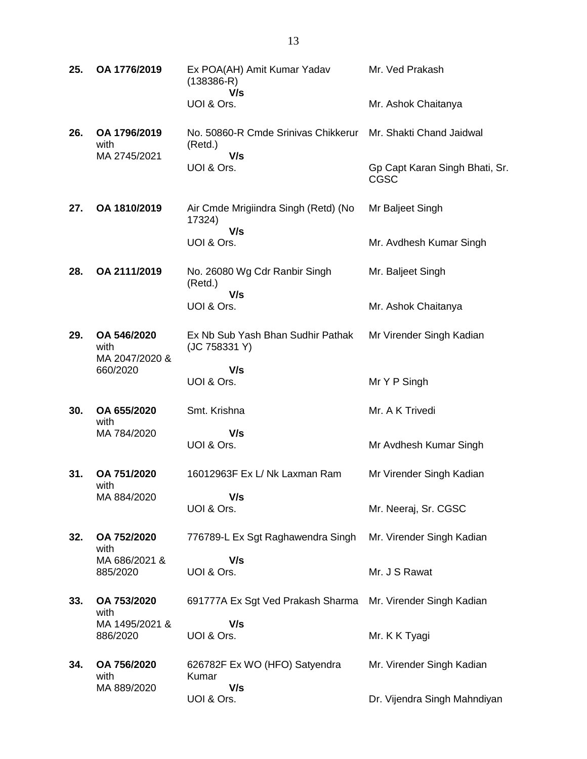| 25. | OA 1776/2019                          | Ex POA(AH) Amit Kumar Yadav<br>$(138386-R)$<br>V/s    | Mr. Ved Prakash                               |
|-----|---------------------------------------|-------------------------------------------------------|-----------------------------------------------|
|     |                                       | UOI & Ors.                                            | Mr. Ashok Chaitanya                           |
| 26. | OA 1796/2019<br>with                  | No. 50860-R Cmde Srinivas Chikkerur<br>(Retd.)        | Mr. Shakti Chand Jaidwal                      |
|     | MA 2745/2021                          | V/s<br>UOI & Ors.                                     | Gp Capt Karan Singh Bhati, Sr.<br><b>CGSC</b> |
| 27. | OA 1810/2019                          | Air Cmde Mrigiindra Singh (Retd) (No<br>17324)<br>V/s | Mr Baljeet Singh                              |
|     |                                       | UOI & Ors.                                            | Mr. Avdhesh Kumar Singh                       |
| 28. | OA 2111/2019                          | No. 26080 Wg Cdr Ranbir Singh<br>(Retd.)              | Mr. Baljeet Singh                             |
|     |                                       | V/s<br>UOI & Ors.                                     | Mr. Ashok Chaitanya                           |
| 29. | OA 546/2020<br>with<br>MA 2047/2020 & | Ex Nb Sub Yash Bhan Sudhir Pathak<br>(JC 758331 Y)    | Mr Virender Singh Kadian                      |
|     | 660/2020                              | V/s<br>UOI & Ors.                                     | Mr Y P Singh                                  |
| 30. | OA 655/2020<br>with                   | Smt. Krishna                                          | Mr. A K Trivedi                               |
|     | MA 784/2020                           | V/s<br>UOI & Ors.                                     | Mr Avdhesh Kumar Singh                        |
| 31. | OA 751/2020<br>with                   | 16012963F Ex L/ Nk Laxman Ram                         | Mr Virender Singh Kadian                      |
|     | MA 884/2020                           | V/s<br>UOI & Ors.                                     | Mr. Neeraj, Sr. CGSC                          |
| 32. | OA 752/2020<br>with                   | 776789-L Ex Sgt Raghawendra Singh                     | Mr. Virender Singh Kadian                     |
|     | MA 686/2021 &<br>885/2020             | V/s<br>UOI & Ors.                                     | Mr. J S Rawat                                 |
| 33. | OA 753/2020<br>with                   | 691777A Ex Sgt Ved Prakash Sharma                     | Mr. Virender Singh Kadian                     |
|     | MA 1495/2021 &<br>886/2020            | V/s<br>UOI & Ors.                                     | Mr. K K Tyagi                                 |
| 34. | OA 756/2020<br>with                   | 626782F Ex WO (HFO) Satyendra<br>Kumar<br>V/s         | Mr. Virender Singh Kadian                     |
|     | MA 889/2020                           | UOI & Ors.                                            | Dr. Vijendra Singh Mahndiyan                  |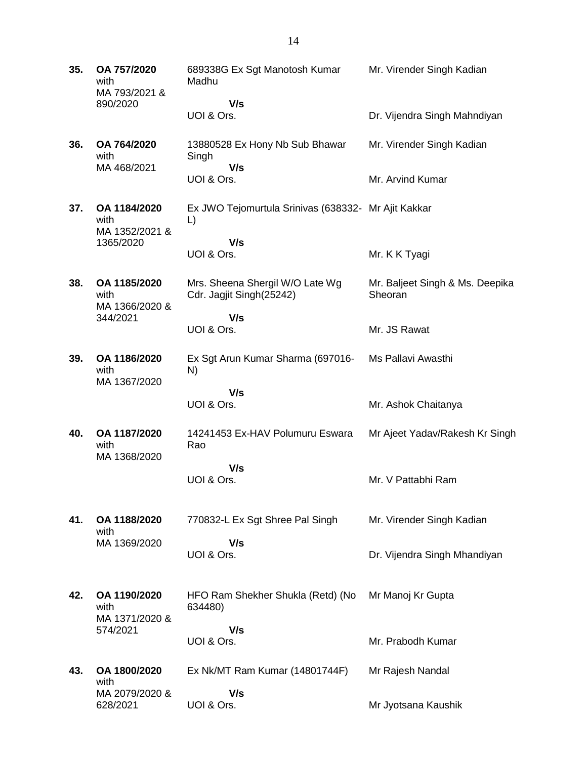| 35. | OA 757/2020<br>with<br>MA 793/2021 &   | 689338G Ex Sgt Manotosh Kumar<br>Madhu                      | Mr. Virender Singh Kadian                  |
|-----|----------------------------------------|-------------------------------------------------------------|--------------------------------------------|
|     | 890/2020                               | V/s<br>UOI & Ors.                                           | Dr. Vijendra Singh Mahndiyan               |
| 36. | OA 764/2020<br>with<br>MA 468/2021     | 13880528 Ex Hony Nb Sub Bhawar<br>Singh<br>V/s              | Mr. Virender Singh Kadian                  |
|     |                                        | UOI & Ors.                                                  | Mr. Arvind Kumar                           |
| 37. | OA 1184/2020<br>with<br>MA 1352/2021 & | Ex JWO Tejomurtula Srinivas (638332- Mr Ajit Kakkar<br>L)   |                                            |
|     | 1365/2020                              | V/s<br>UOI & Ors.                                           | Mr. K K Tyagi                              |
|     |                                        |                                                             |                                            |
| 38. | OA 1185/2020<br>with<br>MA 1366/2020 & | Mrs. Sheena Shergil W/O Late Wg<br>Cdr. Jagjit Singh(25242) | Mr. Baljeet Singh & Ms. Deepika<br>Sheoran |
|     | 344/2021                               | V/s<br>UOI & Ors.                                           | Mr. JS Rawat                               |
| 39. | OA 1186/2020<br>with<br>MA 1367/2020   | Ex Sgt Arun Kumar Sharma (697016-<br>N)                     | Ms Pallavi Awasthi                         |
|     |                                        | V/s<br>UOI & Ors.                                           | Mr. Ashok Chaitanya                        |
| 40. | OA 1187/2020<br>with<br>MA 1368/2020   | 14241453 Ex-HAV Polumuru Eswara<br>Rao                      | Mr Ajeet Yadav/Rakesh Kr Singh             |
|     |                                        | V/s<br>UOI & Ors.                                           | Mr. V Pattabhi Ram                         |
| 41. | OA 1188/2020<br>with                   | 770832-L Ex Sgt Shree Pal Singh                             | Mr. Virender Singh Kadian                  |
|     | MA 1369/2020                           | V/s<br>UOI & Ors.                                           | Dr. Vijendra Singh Mhandiyan               |
| 42. | OA 1190/2020<br>with<br>MA 1371/2020 & | HFO Ram Shekher Shukla (Retd) (No<br>634480)                | Mr Manoj Kr Gupta                          |
|     | 574/2021                               | V/s<br>UOI & Ors.                                           | Mr. Prabodh Kumar                          |
| 43. | OA 1800/2020<br>with                   | Ex Nk/MT Ram Kumar (14801744F)                              | Mr Rajesh Nandal                           |
|     | MA 2079/2020 &<br>628/2021             | V/s<br>UOI & Ors.                                           | Mr Jyotsana Kaushik                        |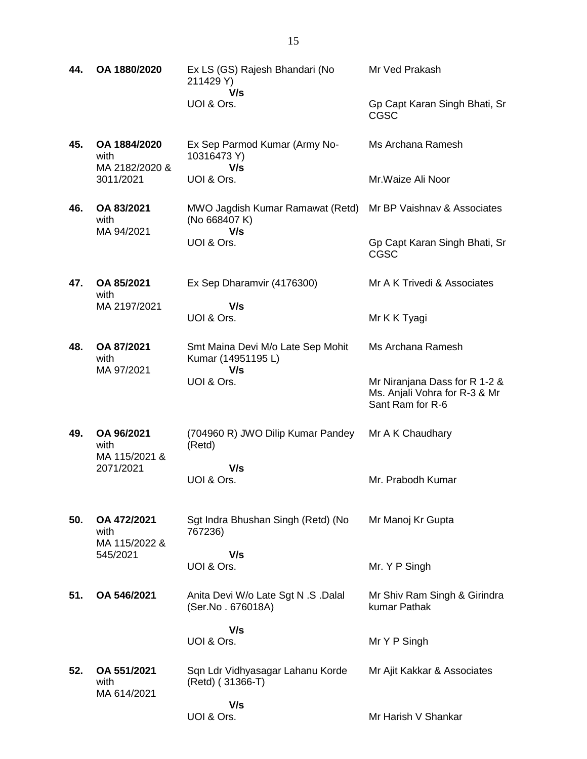| 44. | OA 1880/2020                           | Ex LS (GS) Rajesh Bhandari (No<br>211429 Y)                    | Mr Ved Prakash                                                                     |
|-----|----------------------------------------|----------------------------------------------------------------|------------------------------------------------------------------------------------|
|     |                                        | V/s<br>UOI & Ors.                                              | Gp Capt Karan Singh Bhati, Sr<br><b>CGSC</b>                                       |
| 45. | OA 1884/2020<br>with<br>MA 2182/2020 & | Ex Sep Parmod Kumar (Army No-<br>10316473 Y)<br>V/s            | Ms Archana Ramesh                                                                  |
|     | 3011/2021                              | UOI & Ors.                                                     | Mr. Waize Ali Noor                                                                 |
| 46. | OA 83/2021<br>with<br>MA 94/2021       | MWO Jagdish Kumar Ramawat (Retd)<br>(No 668407 K)<br>V/s       | Mr BP Vaishnav & Associates                                                        |
|     |                                        | UOI & Ors.                                                     | Gp Capt Karan Singh Bhati, Sr<br><b>CGSC</b>                                       |
| 47. | OA 85/2021<br>with                     | Ex Sep Dharamvir (4176300)                                     | Mr A K Trivedi & Associates                                                        |
|     | MA 2197/2021                           | V/s<br>UOI & Ors.                                              | Mr K K Tyagi                                                                       |
| 48. | OA 87/2021<br>with<br>MA 97/2021       | Smt Maina Devi M/o Late Sep Mohit<br>Kumar (14951195 L)<br>V/s | Ms Archana Ramesh                                                                  |
|     |                                        | UOI & Ors.                                                     | Mr Niranjana Dass for R 1-2 &<br>Ms. Anjali Vohra for R-3 & Mr<br>Sant Ram for R-6 |
| 49. | OA 96/2021<br>with<br>MA 115/2021 &    | (704960 R) JWO Dilip Kumar Pandey<br>(Retd)                    | Mr A K Chaudhary                                                                   |
|     | 2071/2021                              | V/s<br>UOI & Ors.                                              | Mr. Prabodh Kumar                                                                  |
| 50. | OA 472/2021<br>with<br>MA 115/2022 &   | Sgt Indra Bhushan Singh (Retd) (No<br>767236)                  | Mr Manoj Kr Gupta                                                                  |
|     | 545/2021                               | V/s<br>UOI & Ors.                                              | Mr. Y P Singh                                                                      |
| 51. | OA 546/2021                            | Anita Devi W/o Late Sgt N .S .Dalal<br>(Ser.No. 676018A)       | Mr Shiv Ram Singh & Girindra<br>kumar Pathak                                       |
|     |                                        | V/s<br>UOI & Ors.                                              | Mr Y P Singh                                                                       |
| 52. | OA 551/2021<br>with<br>MA 614/2021     | Sqn Ldr Vidhyasagar Lahanu Korde<br>(Retd) (31366-T)           | Mr Ajit Kakkar & Associates                                                        |
|     |                                        | V/s<br>UOI & Ors.                                              | Mr Harish V Shankar                                                                |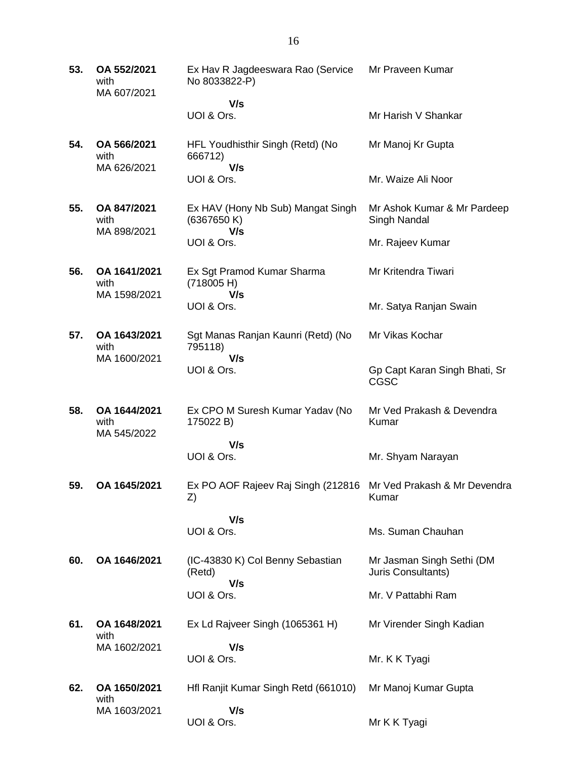| 53. | OA 552/2021<br>with<br>MA 607/2021  | Ex Hav R Jagdeeswara Rao (Service<br>No 8033822-P) | Mr Praveen Kumar                                |
|-----|-------------------------------------|----------------------------------------------------|-------------------------------------------------|
|     |                                     | V/s<br>UOI & Ors.                                  | Mr Harish V Shankar                             |
| 54. | OA 566/2021<br>with                 | HFL Youdhisthir Singh (Retd) (No<br>666712)        | Mr Manoj Kr Gupta                               |
|     | MA 626/2021                         | V/s<br>UOI & Ors.                                  | Mr. Waize Ali Noor                              |
| 55. | OA 847/2021<br>with                 | Ex HAV (Hony Nb Sub) Mangat Singh<br>(6367650 K)   | Mr Ashok Kumar & Mr Pardeep<br>Singh Nandal     |
|     | MA 898/2021                         | V/s<br>UOI & Ors.                                  | Mr. Rajeev Kumar                                |
| 56. | OA 1641/2021<br>with                | Ex Sgt Pramod Kumar Sharma<br>(718005 H)           | Mr Kritendra Tiwari                             |
|     | MA 1598/2021                        | V/s<br>UOI & Ors.                                  | Mr. Satya Ranjan Swain                          |
| 57. | OA 1643/2021<br>with                | Sgt Manas Ranjan Kaunri (Retd) (No<br>795118)      | Mr Vikas Kochar                                 |
|     | MA 1600/2021                        | V/s<br>UOI & Ors.                                  | Gp Capt Karan Singh Bhati, Sr<br><b>CGSC</b>    |
| 58. | OA 1644/2021<br>with<br>MA 545/2022 | Ex CPO M Suresh Kumar Yadav (No<br>175022 B)       | Mr Ved Prakash & Devendra<br>Kumar              |
|     |                                     | V/s<br>UOI & Ors.                                  | Mr. Shyam Narayan                               |
| 59. | OA 1645/2021                        | Ex PO AOF Rajeev Raj Singh (212816<br>Z)           | Mr Ved Prakash & Mr Devendra<br>Kumar           |
|     |                                     | V/s                                                | Ms. Suman Chauhan                               |
|     |                                     | UOI & Ors.                                         |                                                 |
| 60. | OA 1646/2021                        | (IC-43830 K) Col Benny Sebastian<br>(Retd)<br>V/s  | Mr Jasman Singh Sethi (DM<br>Juris Consultants) |
|     |                                     | UOI & Ors.                                         | Mr. V Pattabhi Ram                              |
| 61. | OA 1648/2021<br>with                | Ex Ld Rajveer Singh (1065361 H)                    | Mr Virender Singh Kadian                        |
|     | MA 1602/2021                        | V/s<br>UOI & Ors.                                  | Mr. K K Tyagi                                   |
| 62. | OA 1650/2021<br>with                | Hfl Ranjit Kumar Singh Retd (661010)               | Mr Manoj Kumar Gupta                            |
|     | MA 1603/2021                        | V/s<br>UOI & Ors.                                  | Mr K K Tyagi                                    |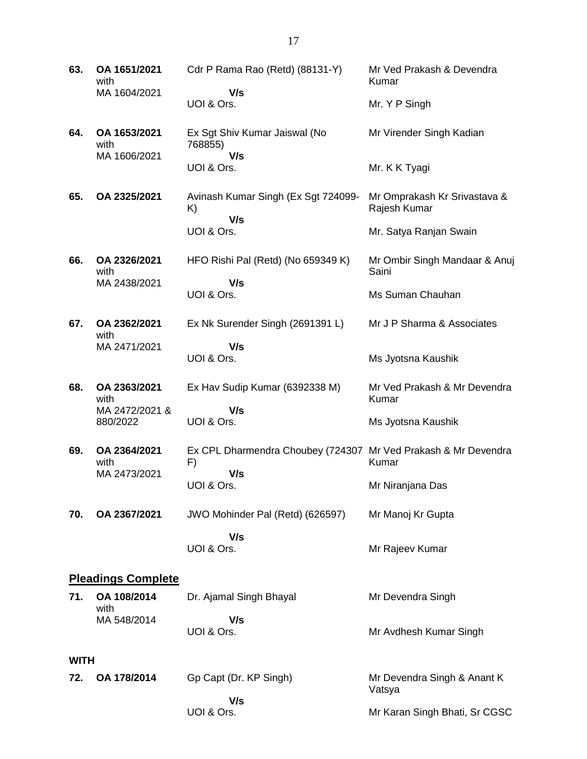**63. OA 1651/2021** with MA 1604/2021 Cdr P Rama Rao (Retd) (88131-Y)  **V/s** UOI & Ors. Mr Ved Prakash & Devendra Kumar Mr. Y P Singh **64. OA 1653/2021** with MA 1606/2021 Ex Sgt Shiv Kumar Jaiswal (No 768855)  **V/s** UOI & Ors. Mr Virender Singh Kadian Mr. K K Tyagi **65. OA 2325/2021** Avinash Kumar Singh (Ex Sgt 724099- K)  **V/s** UOI & Ors. Mr Omprakash Kr Srivastava & Rajesh Kumar Mr. Satya Ranjan Swain **66. OA 2326/2021** with MA 2438/2021 HFO Rishi Pal (Retd) (No 659349 K)  **V/s** UOI & Ors. Mr Ombir Singh Mandaar & Anuj Saini Ms Suman Chauhan **67. OA 2362/2021** with MA 2471/2021 Ex Nk Surender Singh (2691391 L)  **V/s** UOI & Ors. Mr J P Sharma & Associates Ms Jyotsna Kaushik **68. OA 2363/2021** with MA 2472/2021 & 880/2022 Ex Hav Sudip Kumar (6392338 M)  **V/s** UOI & Ors. Mr Ved Prakash & Mr Devendra Kumar Ms Jyotsna Kaushik **69. OA 2364/2021** with MA 2473/2021 Ex CPL Dharmendra Choubey (724307 Mr Ved Prakash & Mr Devendra F)  **V/s** UOI & Ors. Kumar Mr Niranjana Das **70. OA 2367/2021** JWO Mohinder Pal (Retd) (626597)  **V/s** UOI & Ors. Mr Manoj Kr Gupta Mr Rajeev Kumar **Pleadings Complete 71. OA 108/2014** with MA 548/2014 Dr. Ajamal Singh Bhayal  **V/s** UOI & Ors. Mr Devendra Singh Mr Avdhesh Kumar Singh **WITH**

| 72. | OA 178/2014 | Gp Capt (Dr. KP Singh) | Mr Devendra Singh & Anant K<br>Vatsva |
|-----|-------------|------------------------|---------------------------------------|
|     |             | V/s                    |                                       |
|     |             | UOI & Ors.             | Mr Karan Singh Bhati, Sr CGSC         |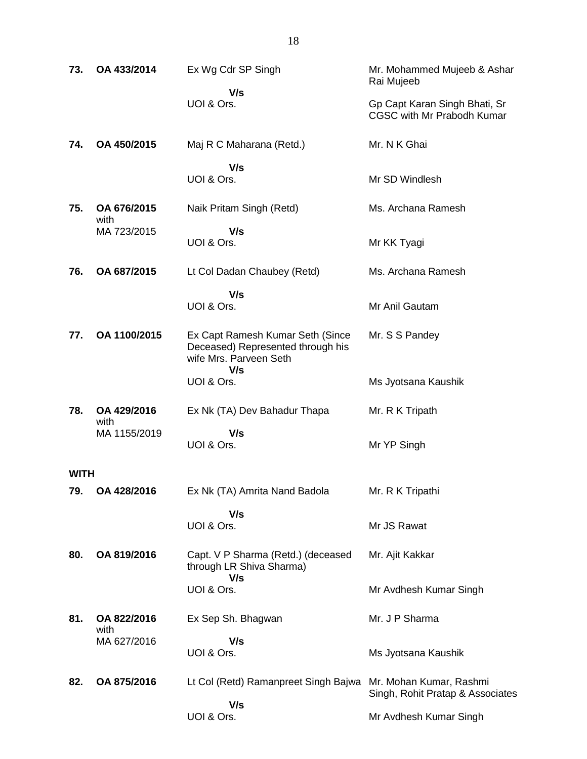| 73.         | OA 433/2014         | Ex Wg Cdr SP Singh                                                                              | Mr. Mohammed Mujeeb & Ashar<br>Rai Mujeeb                   |
|-------------|---------------------|-------------------------------------------------------------------------------------------------|-------------------------------------------------------------|
|             |                     | V/s<br>UOI & Ors.                                                                               | Gp Capt Karan Singh Bhati, Sr<br>CGSC with Mr Prabodh Kumar |
| 74.         | OA 450/2015         | Maj R C Maharana (Retd.)                                                                        | Mr. N K Ghai                                                |
|             |                     | V/s<br>UOI & Ors.                                                                               | Mr SD Windlesh                                              |
| 75.         | OA 676/2015<br>with | Naik Pritam Singh (Retd)                                                                        | Ms. Archana Ramesh                                          |
|             | MA 723/2015         | V/s<br>UOI & Ors.                                                                               | Mr KK Tyagi                                                 |
| 76.         | OA 687/2015         | Lt Col Dadan Chaubey (Retd)                                                                     | Ms. Archana Ramesh                                          |
|             |                     | V/s<br>UOI & Ors.                                                                               | Mr Anil Gautam                                              |
| 77.         | OA 1100/2015        | Ex Capt Ramesh Kumar Seth (Since<br>Deceased) Represented through his<br>wife Mrs. Parveen Seth | Mr. S S Pandey                                              |
|             |                     | V/s<br>UOI & Ors.                                                                               | Ms Jyotsana Kaushik                                         |
| 78.         | OA 429/2016<br>with | Ex Nk (TA) Dev Bahadur Thapa                                                                    | Mr. R K Tripath                                             |
|             | MA 1155/2019        | V/s<br>UOI & Ors.                                                                               | Mr YP Singh                                                 |
| <b>WITH</b> |                     |                                                                                                 |                                                             |
| 79.         | OA 428/2016         | Ex Nk (TA) Amrita Nand Badola                                                                   | Mr. R K Tripathi                                            |
|             |                     | V/s<br>UOI & Ors.                                                                               | Mr JS Rawat                                                 |
| 80.         | OA 819/2016         | Capt. V P Sharma (Retd.) (deceased<br>through LR Shiva Sharma)<br>V/s                           | Mr. Ajit Kakkar                                             |
|             |                     | UOI & Ors.                                                                                      | Mr Avdhesh Kumar Singh                                      |
| 81.         | OA 822/2016<br>with | Ex Sep Sh. Bhagwan                                                                              | Mr. J P Sharma                                              |
|             | MA 627/2016         | V/s<br>UOI & Ors.                                                                               | Ms Jyotsana Kaushik                                         |
| 82.         | OA 875/2016         | Lt Col (Retd) Ramanpreet Singh Bajwa Mr. Mohan Kumar, Rashmi                                    | Singh, Rohit Pratap & Associates                            |
|             |                     | V/s<br>UOI & Ors.                                                                               | Mr Avdhesh Kumar Singh                                      |
|             |                     |                                                                                                 |                                                             |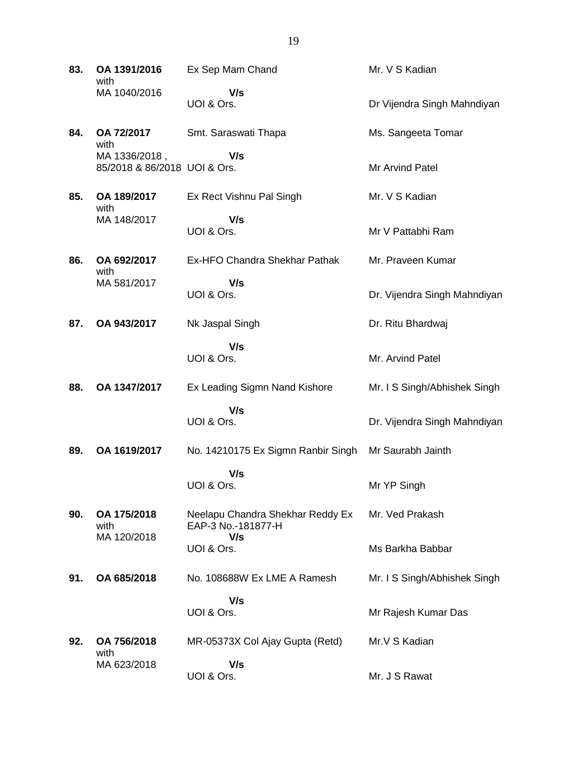| 83. | OA 1391/2016<br>with                          | Ex Sep Mam Chand                                              | Mr. V S Kadian               |
|-----|-----------------------------------------------|---------------------------------------------------------------|------------------------------|
|     | MA 1040/2016                                  | V/s<br>UOI & Ors.                                             | Dr Vijendra Singh Mahndiyan  |
| 84. | OA 72/2017<br>with                            | Smt. Saraswati Thapa                                          | Ms. Sangeeta Tomar           |
|     | MA 1336/2018,<br>85/2018 & 86/2018 UOI & Ors. | V/s                                                           | <b>Mr Arvind Patel</b>       |
| 85. | OA 189/2017<br>with                           | Ex Rect Vishnu Pal Singh                                      | Mr. V S Kadian               |
|     | MA 148/2017                                   | V/s<br>UOI & Ors.                                             | Mr V Pattabhi Ram            |
| 86. | OA 692/2017<br>with                           | Ex-HFO Chandra Shekhar Pathak                                 | Mr. Praveen Kumar            |
|     | MA 581/2017                                   | V/s<br>UOI & Ors.                                             | Dr. Vijendra Singh Mahndiyan |
| 87. | OA 943/2017                                   | Nk Jaspal Singh                                               | Dr. Ritu Bhardwaj            |
|     |                                               | V/s<br>UOI & Ors.                                             | Mr. Arvind Patel             |
| 88. | OA 1347/2017                                  | Ex Leading Sigmn Nand Kishore                                 | Mr. I S Singh/Abhishek Singh |
|     |                                               | V/s<br>UOI & Ors.                                             | Dr. Vijendra Singh Mahndiyan |
| 89. | OA 1619/2017                                  | No. 14210175 Ex Sigmn Ranbir Singh                            | Mr Saurabh Jainth            |
|     |                                               | V/s<br>UOI & Ors.                                             | Mr YP Singh                  |
| 90. | OA 175/2018<br>with<br>MA 120/2018            | Neelapu Chandra Shekhar Reddy Ex<br>EAP-3 No.-181877-H<br>V/s | Mr. Ved Prakash              |
|     |                                               | UOI & Ors.                                                    | Ms Barkha Babbar             |
| 91. | OA 685/2018                                   | No. 108688W Ex LME A Ramesh                                   | Mr. I S Singh/Abhishek Singh |
|     |                                               | V/s<br>UOI & Ors.                                             | Mr Rajesh Kumar Das          |
| 92. | OA 756/2018<br>with                           | MR-05373X Col Ajay Gupta (Retd)                               | Mr.V S Kadian                |
|     | MA 623/2018                                   | V/s<br>UOI & Ors.                                             | Mr. J S Rawat                |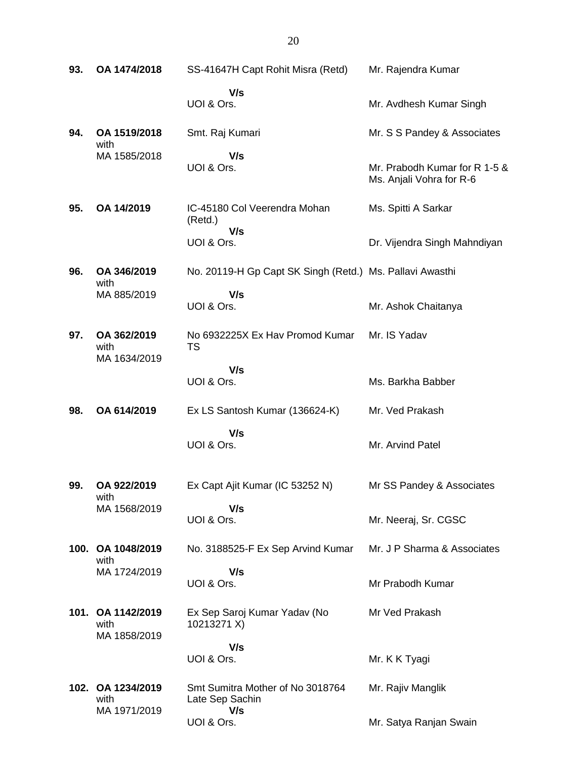| 93.  | OA 1474/2018                              | SS-41647H Capt Rohit Misra (Retd)                        | Mr. Rajendra Kumar                                        |
|------|-------------------------------------------|----------------------------------------------------------|-----------------------------------------------------------|
|      |                                           | V/s<br>UOI & Ors.                                        | Mr. Avdhesh Kumar Singh                                   |
| 94.  | OA 1519/2018                              | Smt. Raj Kumari                                          | Mr. S S Pandey & Associates                               |
|      | with<br>MA 1585/2018                      | V/s<br>UOI & Ors.                                        | Mr. Prabodh Kumar for R 1-5 &<br>Ms. Anjali Vohra for R-6 |
| 95.  | OA 14/2019                                | IC-45180 Col Veerendra Mohan<br>(Retd.)                  | Ms. Spitti A Sarkar                                       |
|      |                                           | V/s<br>UOI & Ors.                                        | Dr. Vijendra Singh Mahndiyan                              |
| 96.  | OA 346/2019<br>with                       | No. 20119-H Gp Capt SK Singh (Retd.) Ms. Pallavi Awasthi |                                                           |
|      | MA 885/2019                               | V/s<br>UOI & Ors.                                        | Mr. Ashok Chaitanya                                       |
| 97.  | OA 362/2019<br>with<br>MA 1634/2019       | No 6932225X Ex Hav Promod Kumar<br>TS                    | Mr. IS Yadav                                              |
|      |                                           | V/s<br>UOI & Ors.                                        | Ms. Barkha Babber                                         |
| 98.  | OA 614/2019                               | Ex LS Santosh Kumar (136624-K)                           | Mr. Ved Prakash                                           |
|      |                                           | V/s<br>UOI & Ors.                                        | Mr. Arvind Patel                                          |
| 99.  | OA 922/2019<br>with                       | Ex Capt Ajit Kumar (IC 53252 N)                          | Mr SS Pandey & Associates                                 |
|      | MA 1568/2019                              | V/s<br>UOI & Ors.                                        | Mr. Neeraj, Sr. CGSC                                      |
| 100. | OA 1048/2019<br>with                      | No. 3188525-F Ex Sep Arvind Kumar                        | Mr. J P Sharma & Associates                               |
|      | MA 1724/2019                              | V/s<br>UOI & Ors.                                        | Mr Prabodh Kumar                                          |
|      | 101. OA 1142/2019<br>with<br>MA 1858/2019 | Ex Sep Saroj Kumar Yadav (No<br>10213271 X)              | Mr Ved Prakash                                            |
|      |                                           | V/s<br>UOI & Ors.                                        | Mr. K K Tyagi                                             |
|      | 102. OA 1234/2019<br>with<br>MA 1971/2019 | Smt Sumitra Mother of No 3018764<br>Late Sep Sachin      | Mr. Rajiv Manglik                                         |
|      |                                           | V/s                                                      |                                                           |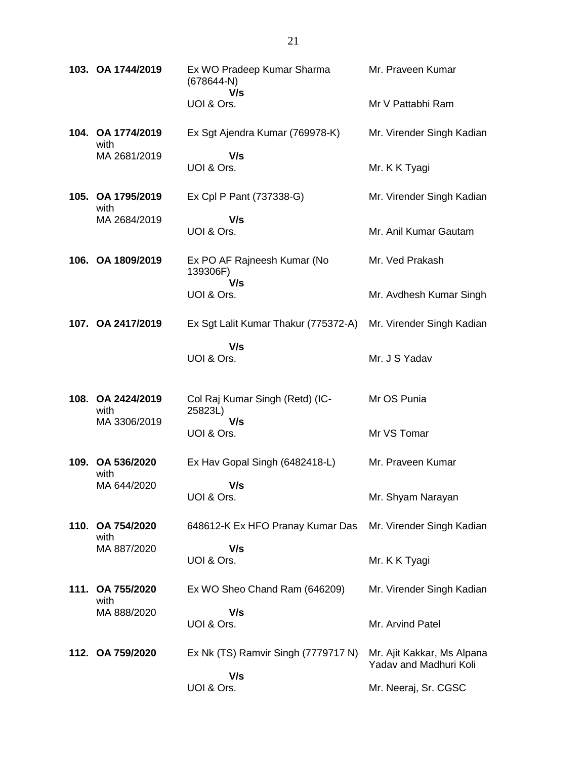|      | 103. OA 1744/2019         | Ex WO Pradeep Kumar Sharma<br>(678644-N)<br>V/s | Mr. Praveen Kumar                                    |
|------|---------------------------|-------------------------------------------------|------------------------------------------------------|
|      |                           | UOI & Ors.                                      | Mr V Pattabhi Ram                                    |
|      | 104. OA 1774/2019<br>with | Ex Sgt Ajendra Kumar (769978-K)                 | Mr. Virender Singh Kadian                            |
|      | MA 2681/2019              | V/s<br>UOI & Ors.                               | Mr. K K Tyagi                                        |
|      | 105. OA 1795/2019<br>with | Ex Cpl P Pant (737338-G)                        | Mr. Virender Singh Kadian                            |
|      | MA 2684/2019              | V/s<br>UOI & Ors.                               | Mr. Anil Kumar Gautam                                |
|      | 106. OA 1809/2019         | Ex PO AF Rajneesh Kumar (No<br>139306F)<br>V/s  | Mr. Ved Prakash                                      |
|      |                           | UOI & Ors.                                      | Mr. Avdhesh Kumar Singh                              |
|      | 107. OA 2417/2019         | Ex Sgt Lalit Kumar Thakur (775372-A)            | Mr. Virender Singh Kadian                            |
|      |                           | V/s<br>UOI & Ors.                               | Mr. J S Yadav                                        |
|      | 108. OA 2424/2019<br>with | Col Raj Kumar Singh (Retd) (IC-<br>25823L)      | Mr OS Punia                                          |
|      | MA 3306/2019              | V/s<br>UOI & Ors.                               | Mr VS Tomar                                          |
|      | 109. OA 536/2020<br>with  | Ex Hav Gopal Singh (6482418-L)                  | Mr. Praveen Kumar                                    |
|      | MA 644/2020               | V/s<br>UOI & Ors.                               | Mr. Shyam Narayan                                    |
|      | 110. OA 754/2020<br>with  | 648612-K Ex HFO Pranay Kumar Das                | Mr. Virender Singh Kadian                            |
|      | MA 887/2020               | V/s<br>UOI & Ors.                               | Mr. K K Tyagi                                        |
| 111. | OA 755/2020<br>with       | Ex WO Sheo Chand Ram (646209)                   | Mr. Virender Singh Kadian                            |
|      | MA 888/2020               | V/s<br>UOI & Ors.                               | Mr. Arvind Patel                                     |
|      | 112. OA 759/2020          | Ex Nk (TS) Ramvir Singh (7779717 N)             | Mr. Ajit Kakkar, Ms Alpana<br>Yadav and Madhuri Koli |
|      |                           | V/s<br>UOI & Ors.                               | Mr. Neeraj, Sr. CGSC                                 |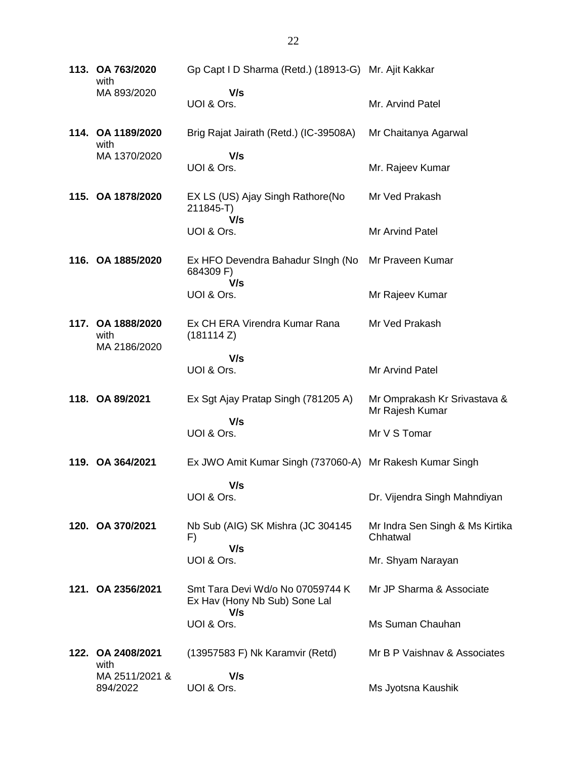**113. OA 763/2020** with MA 893/2020 Gp Capt I D Sharma (Retd.) (18913-G) Mr. Ajit Kakkar  **V/s** UOI & Ors. Mr. Arvind Patel **114. OA 1189/2020** with MA 1370/2020 Brig Rajat Jairath (Retd.) (IC-39508A)  **V/s** UOI & Ors. Mr Chaitanya Agarwal Mr. Rajeev Kumar **115. OA 1878/2020** EX LS (US) Ajay Singh Rathore(No 211845-T)  **V/s** UOI & Ors. Mr Ved Prakash Mr Arvind Patel **116. OA 1885/2020** Ex HFO Devendra Bahadur SIngh (No Mr Praveen Kumar 684309 F)  **V/s** UOI & Ors. Mr Rajeev Kumar **117. OA 1888/2020** with MA 2186/2020 Ex CH ERA Virendra Kumar Rana (181114 Z)  **V/s** UOI & Ors. Mr Ved Prakash Mr Arvind Patel **118. OA 89/2021** Ex Sgt Ajay Pratap Singh (781205 A)  **V/s** UOI & Ors. Mr Omprakash Kr Srivastava & Mr Rajesh Kumar Mr V S Tomar **119. OA 364/2021** Ex JWO Amit Kumar Singh (737060-A) Mr Rakesh Kumar Singh  **V/s** UOI & Ors. Dr. Vijendra Singh Mahndiyan **120. OA 370/2021** Nb Sub (AIG) SK Mishra (JC 304145 F)  **V/s** UOI & Ors. Mr Indra Sen Singh & Ms Kirtika **Chhatwal** Mr. Shyam Narayan **121. OA 2356/2021** Smt Tara Devi Wd/o No 07059744 K Ex Hav (Hony Nb Sub) Sone Lal  **V/s** UOI & Ors. Mr JP Sharma & Associate Ms Suman Chauhan **122. OA 2408/2021** with MA 2511/2021 & 894/2022 (13957583 F) Nk Karamvir (Retd)  **V/s** UOI & Ors. Mr B P Vaishnav & Associates Ms Jyotsna Kaushik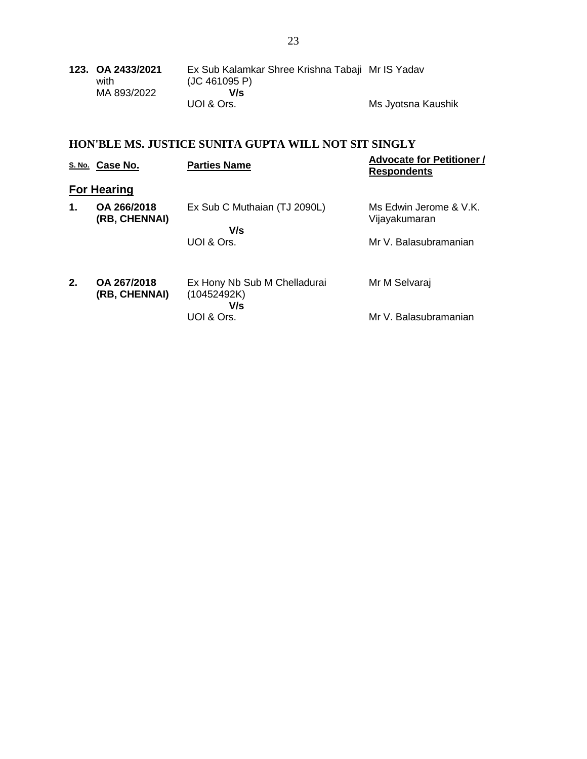| 123. OA 2433/2021 | Ex Sub Kalamkar Shree Krishna Tabaji Mr IS Yadav |                    |
|-------------------|--------------------------------------------------|--------------------|
| with              | (JC 461095 P)                                    |                    |
| MA 893/2022       | V/s                                              |                    |
|                   | UOI & Ors.                                       | Ms Jyotsna Kaushik |

# **HON'BLE MS. JUSTICE SUNITA GUPTA WILL NOT SIT SINGLY**

|    | S. No. Case No.              | <b>Parties Name</b>                                | <b>Advocate for Petitioner /</b><br><b>Respondents</b> |
|----|------------------------------|----------------------------------------------------|--------------------------------------------------------|
|    | <b>For Hearing</b>           |                                                    |                                                        |
| 1. | OA 266/2018<br>(RB, CHENNAI) | Ex Sub C Muthaian (TJ 2090L)                       | Ms Edwin Jerome & V.K.                                 |
|    |                              | V/s                                                | Vijayakumaran                                          |
|    |                              | UOI & Ors.                                         | Mr V. Balasubramanian                                  |
| 2. | OA 267/2018<br>(RB, CHENNAI) | Ex Hony Nb Sub M Chelladurai<br>(10452492K)<br>V/s | Mr M Selvaraj                                          |
|    |                              | UOI & Ors.                                         | Mr V. Balasubramanian                                  |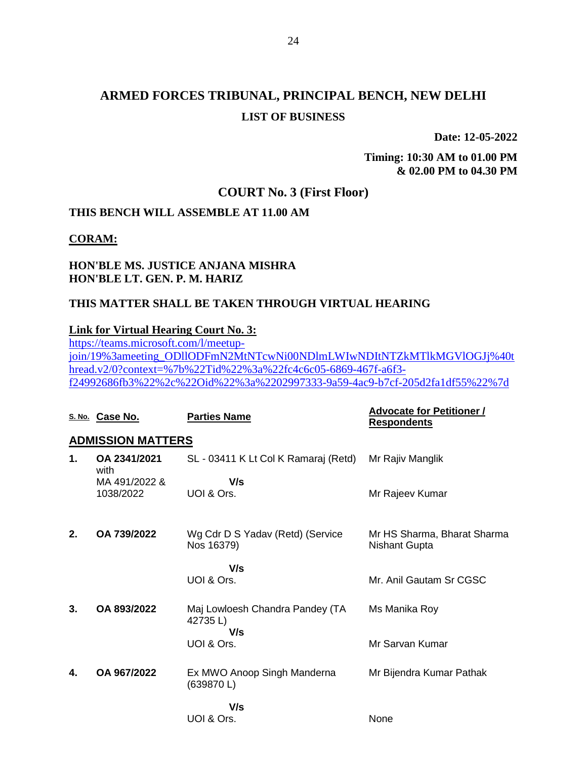**Date: 12-05-2022**

**Timing: 10:30 AM to 01.00 PM & 02.00 PM to 04.30 PM**

## **COURT No. 3 (First Floor)**

## **THIS BENCH WILL ASSEMBLE AT 11.00 AM**

#### **CORAM:**

#### **HON'BLE MS. JUSTICE ANJANA MISHRA HON'BLE LT. GEN. P. M. HARIZ**

#### **THIS MATTER SHALL BE TAKEN THROUGH VIRTUAL HEARING**

#### **Link for Virtual Hearing Court No. 3:**

[https://teams.microsoft.com/l/meetup](https://teams.microsoft.com/l/meetup-join/19%3ameeting_ODllODFmN2MtNTcwNi00NDlmLWIwNDItNTZkMTlkMGVlOGJj%40thread.v2/0?context=%7b%22Tid%22%3a%22fc4c6c05-6869-467f-a6f3-f24992686fb3%22%2c%22Oid%22%3a%2202997333-9a59-4ac9-b7cf-205d2fa1df55%22%7d)[join/19%3ameeting\\_ODllODFmN2MtNTcwNi00NDlmLWIwNDItNTZkMTlkMGVlOGJj%40t](https://teams.microsoft.com/l/meetup-join/19%3ameeting_ODllODFmN2MtNTcwNi00NDlmLWIwNDItNTZkMTlkMGVlOGJj%40thread.v2/0?context=%7b%22Tid%22%3a%22fc4c6c05-6869-467f-a6f3-f24992686fb3%22%2c%22Oid%22%3a%2202997333-9a59-4ac9-b7cf-205d2fa1df55%22%7d) [hread.v2/0?context=%7b%22Tid%22%3a%22fc4c6c05-6869-467f-a6f3](https://teams.microsoft.com/l/meetup-join/19%3ameeting_ODllODFmN2MtNTcwNi00NDlmLWIwNDItNTZkMTlkMGVlOGJj%40thread.v2/0?context=%7b%22Tid%22%3a%22fc4c6c05-6869-467f-a6f3-f24992686fb3%22%2c%22Oid%22%3a%2202997333-9a59-4ac9-b7cf-205d2fa1df55%22%7d) [f24992686fb3%22%2c%22Oid%22%3a%2202997333-9a59-4ac9-b7cf-205d2fa1df55%22%7d](https://teams.microsoft.com/l/meetup-join/19%3ameeting_ODllODFmN2MtNTcwNi00NDlmLWIwNDItNTZkMTlkMGVlOGJj%40thread.v2/0?context=%7b%22Tid%22%3a%22fc4c6c05-6869-467f-a6f3-f24992686fb3%22%2c%22Oid%22%3a%2202997333-9a59-4ac9-b7cf-205d2fa1df55%22%7d)

|                          | S. No. Case No.      | <b>Parties Name</b>                            | <b>Advocate for Petitioner /</b><br><b>Respondents</b> |  |  |  |
|--------------------------|----------------------|------------------------------------------------|--------------------------------------------------------|--|--|--|
| <b>ADMISSION MATTERS</b> |                      |                                                |                                                        |  |  |  |
| 1.                       | OA 2341/2021<br>with | SL - 03411 K Lt Col K Ramaraj (Retd)           | Mr Rajiv Manglik                                       |  |  |  |
|                          | MA 491/2022 &        | V/s                                            |                                                        |  |  |  |
|                          | 1038/2022            | UOI & Ors.                                     | Mr Rajeev Kumar                                        |  |  |  |
|                          |                      |                                                |                                                        |  |  |  |
| 2.                       | OA 739/2022          | Wg Cdr D S Yadav (Retd) (Service<br>Nos 16379) | Mr HS Sharma, Bharat Sharma<br>Nishant Gupta           |  |  |  |
|                          |                      |                                                |                                                        |  |  |  |
|                          |                      | V/s                                            |                                                        |  |  |  |
|                          |                      | UOI & Ors.                                     | Mr. Anil Gautam Sr CGSC                                |  |  |  |
| 3.                       | OA 893/2022          | Maj Lowloesh Chandra Pandey (TA                | Ms Manika Roy                                          |  |  |  |
|                          |                      | 42735L)<br>V/s                                 |                                                        |  |  |  |
|                          |                      | UOI & Ors.                                     | Mr Sarvan Kumar                                        |  |  |  |
|                          |                      |                                                |                                                        |  |  |  |
| 4.                       | OA 967/2022          | Ex MWO Anoop Singh Manderna<br>(639870L)       | Mr Bijendra Kumar Pathak                               |  |  |  |
|                          |                      | V/s                                            |                                                        |  |  |  |
|                          |                      | UOI & Ors.                                     | None                                                   |  |  |  |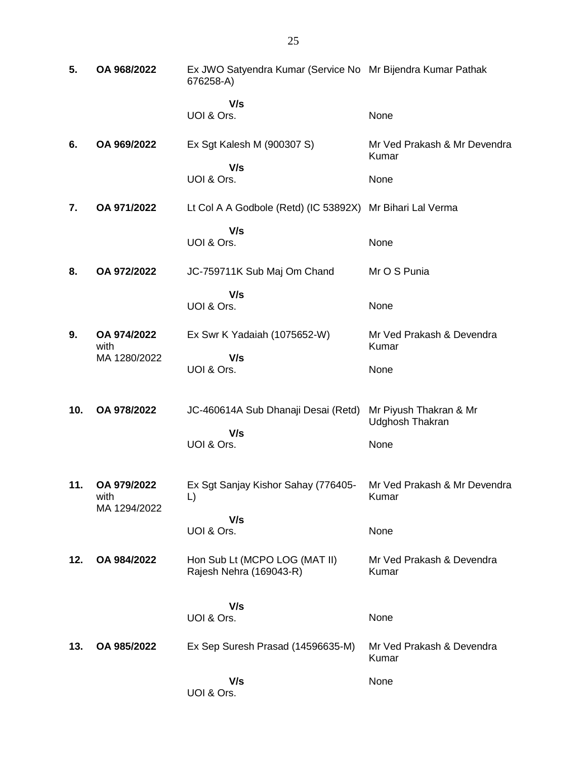| 5.  | OA 968/2022                         | Ex JWO Satyendra Kumar (Service No Mr Bijendra Kumar Pathak<br>676258-A) |                                                  |
|-----|-------------------------------------|--------------------------------------------------------------------------|--------------------------------------------------|
|     |                                     | V/s<br>UOI & Ors.                                                        | None                                             |
| 6.  | OA 969/2022                         | Ex Sgt Kalesh M (900307 S)                                               | Mr Ved Prakash & Mr Devendra<br>Kumar            |
|     |                                     | V/s<br>UOI & Ors.                                                        | None                                             |
| 7.  | OA 971/2022                         | Lt Col A A Godbole (Retd) (IC 53892X) Mr Bihari Lal Verma                |                                                  |
|     |                                     | V/s<br>UOI & Ors.                                                        | None                                             |
| 8.  | OA 972/2022                         | JC-759711K Sub Maj Om Chand                                              | Mr O S Punia                                     |
|     |                                     | V/s<br>UOI & Ors.                                                        | None                                             |
| 9.  | OA 974/2022<br>with<br>MA 1280/2022 | Ex Swr K Yadaiah (1075652-W)                                             | Mr Ved Prakash & Devendra<br>Kumar               |
|     |                                     | V/s<br>UOI & Ors.                                                        | None                                             |
| 10. | OA 978/2022                         | JC-460614A Sub Dhanaji Desai (Retd)<br>V/s                               | Mr Piyush Thakran & Mr<br><b>Udghosh Thakran</b> |
|     |                                     | UOI & Ors.                                                               | None                                             |
| 11. | OA 979/2022<br>with<br>MA 1294/2022 | Ex Sgt Sanjay Kishor Sahay (776405-<br>L)                                | Mr Ved Prakash & Mr Devendra<br>Kumar            |
|     |                                     | V/s<br>UOI & Ors.                                                        | None                                             |
| 12. | OA 984/2022                         | Hon Sub Lt (MCPO LOG (MAT II)<br>Rajesh Nehra (169043-R)                 | Mr Ved Prakash & Devendra<br>Kumar               |
|     |                                     | V/s                                                                      |                                                  |
|     |                                     | UOI & Ors.                                                               | None                                             |
| 13. | OA 985/2022                         | Ex Sep Suresh Prasad (14596635-M)                                        | Mr Ved Prakash & Devendra<br>Kumar               |
|     |                                     | V/s<br>UOI & Ors.                                                        | None                                             |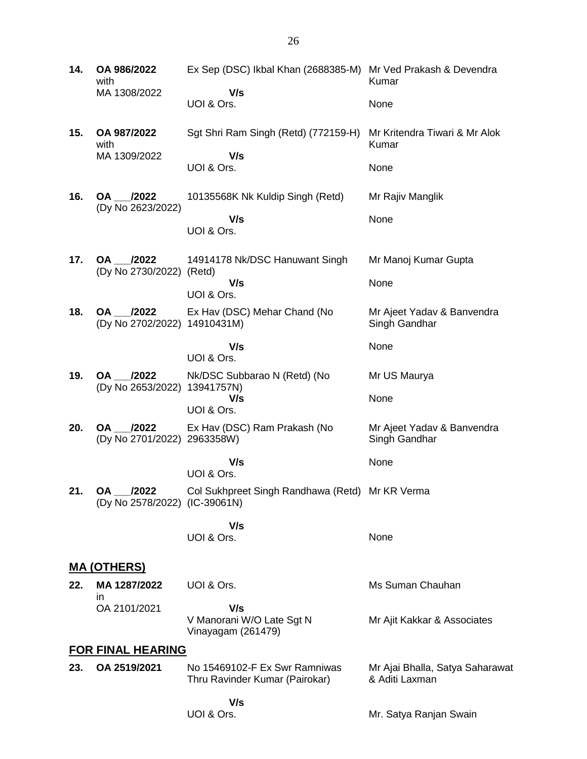**14. OA 986/2022** with MA 1308/2022 Ex Sep (DSC) Ikbal Khan (2688385-M) Mr Ved Prakash & Devendra  **V/s** UOI & Ors. Kumar None **15. OA 987/2022** with MA 1309/2022 Sgt Shri Ram Singh (Retd) (772159-H)  **V/s** UOI & Ors. Mr Kritendra Tiwari & Mr Alok Kumar None **16. OA \_\_\_/2022** (Dy No 2623/2022) 10135568K Nk Kuldip Singh (Retd)  **V/s** UOI & Ors. Mr Rajiv Manglik None **17. OA \_\_\_/2022** (Dy No 2730/2022) (Retd) 14914178 Nk/DSC Hanuwant Singh  **V/s** UOI & Ors. Mr Manoj Kumar Gupta None **18. OA \_\_\_/2022** (Dy No 2702/2022) 14910431M) Ex Hav (DSC) Mehar Chand (No  **V/s** UOI & Ors. Mr Ajeet Yadav & Banvendra Singh Gandhar None **19. OA \_\_\_/2022** (Dy No 2653/2022) 13941757N) Nk/DSC Subbarao N (Retd) (No  **V/s** UOI & Ors. Mr US Maurya None **20. OA \_\_\_/2022** (Dy No 2701/2022) 2963358W) Ex Hav (DSC) Ram Prakash (No  **V/s** UOI & Ors. Mr Ajeet Yadav & Banvendra Singh Gandhar None **21. OA \_\_\_/2022** (Dy No 2578/2022) (IC-39061N) Col Sukhpreet Singh Randhawa (Retd) Mr KR Verma  **V/s** UOI & Ors. None **MA (OTHERS) 22. MA 1287/2022** in OA 2101/2021 UOI & Ors.  **V/s** V Manorani W/O Late Sgt N Vinayagam (261479) Ms Suman Chauhan Mr Ajit Kakkar & Associates **FOR FINAL HEARING 23. OA 2519/2021** No 15469102-F Ex Swr Ramniwas Thru Ravinder Kumar (Pairokar)  **V/s** UOI & Ors. Mr Ajai Bhalla, Satya Saharawat & Aditi Laxman Mr. Satya Ranjan Swain